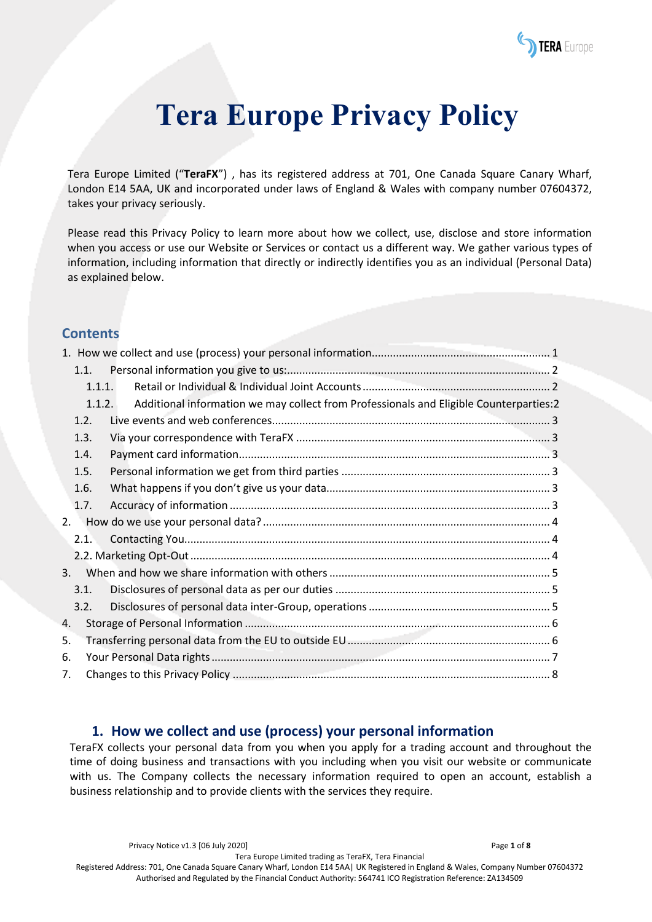

# **Tera Europe Privacy Policy**

Tera Europe Limited ("**TeraFX**") , has its registered address at 701, One Canada Square Canary Wharf, London E14 5AA, UK and incorporated under laws of England & Wales with company number 07604372, takes your privacy seriously.

Please read this Privacy Policy to learn more about how we collect, use, disclose and store information when you access or use our Website or Services or contact us a different way. We gather various types of information, including information that directly or indirectly identifies you as an individual (Personal Data) as explained below.

## **Contents**

|    | 1.1.   |                                                                                        |  |
|----|--------|----------------------------------------------------------------------------------------|--|
|    | 1.1.1. |                                                                                        |  |
|    | 1.1.2. | Additional information we may collect from Professionals and Eligible Counterparties:2 |  |
|    | 1.2.   |                                                                                        |  |
|    | 1.3.   |                                                                                        |  |
|    | 1.4.   |                                                                                        |  |
|    | 1.5.   |                                                                                        |  |
|    | 1.6.   |                                                                                        |  |
|    | 1.7.   |                                                                                        |  |
| 2. |        |                                                                                        |  |
|    | 2.1.   |                                                                                        |  |
|    |        |                                                                                        |  |
| 3. |        |                                                                                        |  |
|    | 3.1.   |                                                                                        |  |
|    | 3.2.   |                                                                                        |  |
| 4. |        |                                                                                        |  |
| 5. |        |                                                                                        |  |
| 6. |        |                                                                                        |  |
| 7. |        |                                                                                        |  |

## <span id="page-0-0"></span>**1. How we collect and use (process) your personal information**

TeraFX collects your personal data from you when you apply for a trading account and throughout the time of doing business and transactions with you including when you visit our website or communicate with us. The Company collects the necessary information required to open an account, establish a business relationship and to provide clients with the services they require.

Privacy Notice v1.3 [06 July 2020] Page **1** of **8**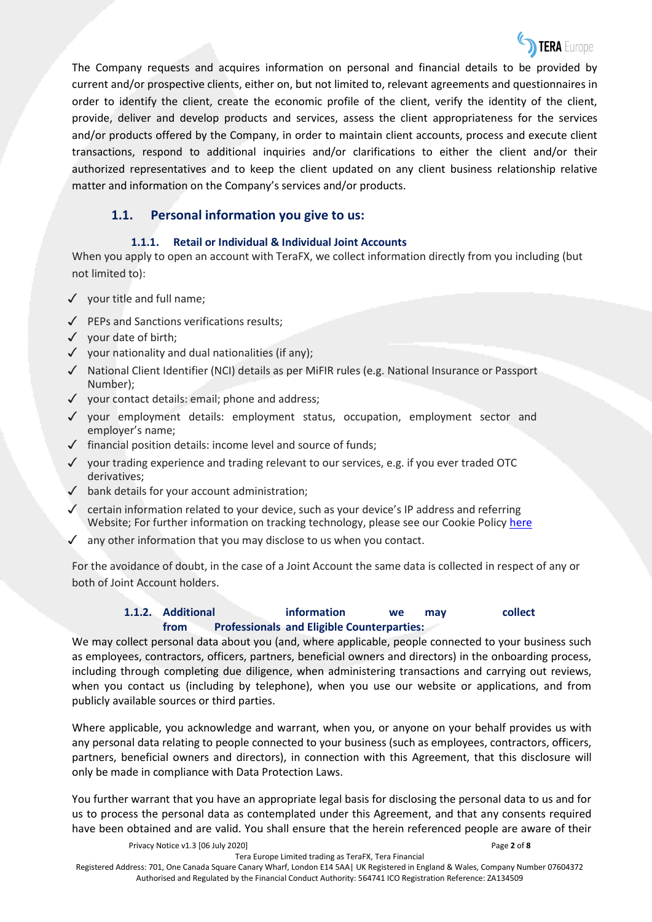

The Company requests and acquires information on personal and financial details to be provided by current and/or prospective clients, either on, but not limited to, relevant agreements and questionnaires in order to identify the client, create the economic profile of the client, verify the identity of the client, provide, deliver and develop products and services, assess the client appropriateness for the services and/or products offered by the Company, in order to maintain client accounts, process and execute client transactions, respond to additional inquiries and/or clarifications to either the client and/or their authorized representatives and to keep the client updated on any client business relationship relative matter and information on the Company's services and/or products.

## <span id="page-1-0"></span>**1.1. Personal information you give to us:**

### **1.1.1. Retail or Individual & Individual Joint Accounts**

<span id="page-1-1"></span>When you apply to open an account with TeraFX, we collect information directly from you including (but not limited to):

- ✓ your title and full name;
- ✓ PEPs and Sanctions verifications results;
- ✓ your date of birth;
- $\checkmark$  your nationality and dual nationalities (if any);
- ✓ National Client Identifier (NCI) details as per MiFIR rules (e.g. National Insurance or Passport Number);
- ✓ your contact details: email; phone and address;
- ✓ your employment details: employment status, occupation, employment sector and employer's name;
- $\checkmark$  financial position details: income level and source of funds;
- $\checkmark$  your trading experience and trading relevant to our services, e.g. if you ever traded OTC derivatives;
- ✓ bank details for your account administration;
- $\checkmark$  certain information related to your device, such as your device's IP address and referring Website; For further information on tracking technology, please see our Cookie Policy [here](https://terafx.com/Home/cookies-more-information/)
- $\sqrt{\phantom{a}}$  any other information that you may disclose to us when you contact.

For the avoidance of doubt, in the case of a Joint Account the same data is collected in respect of any or both of Joint Account holders.

### **1.1.2. Additional information we may collect from Professionals and Eligible Counterparties:**

<span id="page-1-2"></span>We may collect personal data about you (and, where applicable, people connected to your business such as employees, contractors, officers, partners, beneficial owners and directors) in the onboarding process, including through completing due diligence, when administering transactions and carrying out reviews, when you contact us (including by telephone), when you use our website or applications, and from publicly available sources or third parties.

Where applicable, you acknowledge and warrant, when you, or anyone on your behalf provides us with any personal data relating to people connected to your business (such as employees, contractors, officers, partners, beneficial owners and directors), in connection with this Agreement, that this disclosure will only be made in compliance with Data Protection Laws.

You further warrant that you have an appropriate legal basis for disclosing the personal data to us and for us to process the personal data as contemplated under this Agreement, and that any consents required have been obtained and are valid. You shall ensure that the herein referenced people are aware of their

Privacy Notice v1.3 [06 July 2020] Page **2** of **8**

Tera Europe Limited trading as TeraFX, Tera Financial

Registered Address: 701, One Canada Square Canary Wharf, London E14 5AA| UK Registered in England & Wales, Company Number 07604372 Authorised and Regulated by the Financial Conduct Authority: 564741 ICO Registration Reference: ZA134509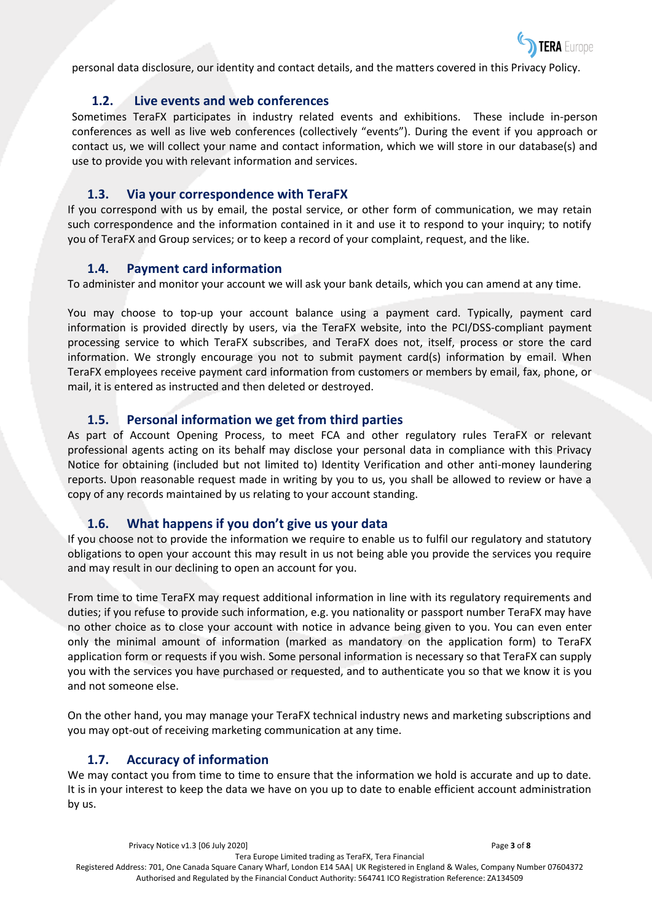

personal data disclosure, our identity and contact details, and the matters covered in this Privacy Policy.

#### **1.2. Live events and web conferences**

<span id="page-2-0"></span>Sometimes TeraFX participates in industry related events and exhibitions. These include in-person conferences as well as live web conferences (collectively "events"). During the event if you approach or contact us, we will collect your name and contact information, which we will store in our database(s) and use to provide you with relevant information and services.

### **1.3. Via your correspondence with TeraFX**

<span id="page-2-1"></span>If you correspond with us by email, the postal service, or other form of communication, we may retain such correspondence and the information contained in it and use it to respond to your inquiry; to notify you of TeraFX and Group services; or to keep a record of your complaint, request, and the like.

### **1.4. Payment card information**

<span id="page-2-2"></span>To administer and monitor your account we will ask your bank details, which you can amend at any time.

You may choose to top-up your account balance using a payment card. Typically, payment card information is provided directly by users, via the TeraFX website, into the PCI/DSS-compliant payment processing service to which TeraFX subscribes, and TeraFX does not, itself, process or store the card information. We strongly encourage you not to submit payment card(s) information by email. When TeraFX employees receive payment card information from customers or members by email, fax, phone, or mail, it is entered as instructed and then deleted or destroyed.

## **1.5. Personal information we get from third parties**

<span id="page-2-3"></span>As part of Account Opening Process, to meet FCA and other regulatory rules TeraFX or relevant professional agents acting on its behalf may disclose your personal data in compliance with this Privacy Notice for obtaining (included but not limited to) Identity Verification and other anti-money laundering reports. Upon reasonable request made in writing by you to us, you shall be allowed to review or have a copy of any records maintained by us relating to your account standing.

## **1.6. What happens if you don't give us your data**

<span id="page-2-4"></span>If you choose not to provide the information we require to enable us to fulfil our regulatory and statutory obligations to open your account this may result in us not being able you provide the services you require and may result in our declining to open an account for you.

From time to time TeraFX may request additional information in line with its regulatory requirements and duties; if you refuse to provide such information, e.g. you nationality or passport number TeraFX may have no other choice as to close your account with notice in advance being given to you. You can even enter only the minimal amount of information (marked as mandatory on the application form) to TeraFX application form or requests if you wish. Some personal information is necessary so that TeraFX can supply you with the services you have purchased or requested, and to authenticate you so that we know it is you and not someone else.

On the other hand, you may manage your TeraFX technical industry news and marketing subscriptions and you may opt-out of receiving marketing communication at any time.

## **1.7. Accuracy of information**

<span id="page-2-5"></span>We may contact you from time to time to ensure that the information we hold is accurate and up to date. It is in your interest to keep the data we have on you up to date to enable efficient account administration by us.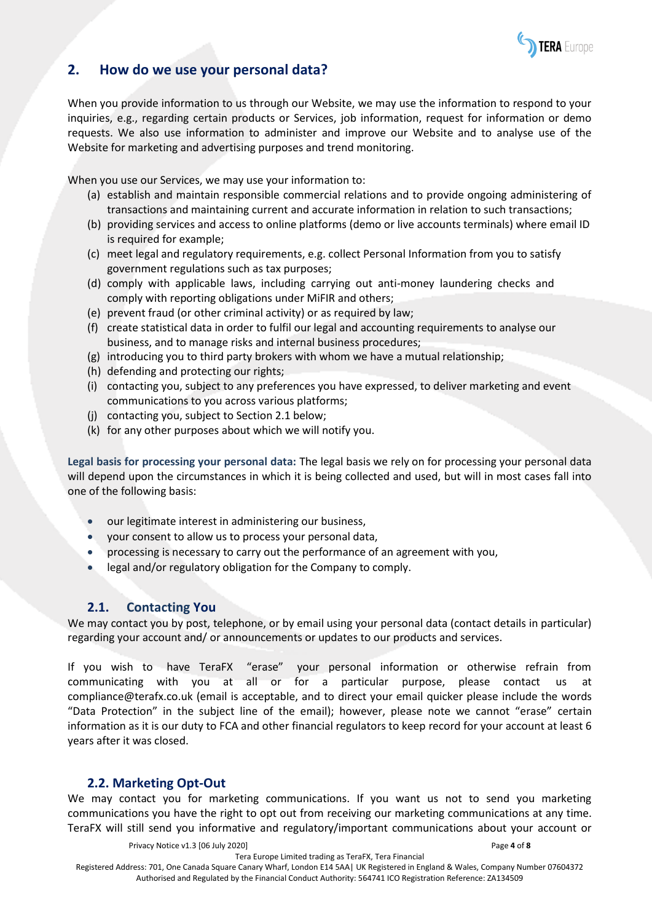

# <span id="page-3-0"></span>**2. How do we use your personal data?**

When you provide information to us through our Website, we may use the information to respond to your inquiries, e.g., regarding certain products or Services, job information, request for information or demo requests. We also use information to administer and improve our Website and to analyse use of the Website for marketing and advertising purposes and trend monitoring.

When you use our Services, we may use your information to:

- (a) establish and maintain responsible commercial relations and to provide ongoing administering of transactions and maintaining current and accurate information in relation to such transactions;
- (b) providing services and access to online platforms (demo or live accounts terminals) where email ID is required for example;
- (c) meet legal and regulatory requirements, e.g. collect Personal Information from you to satisfy government regulations such as tax purposes;
- (d) comply with applicable laws, including carrying out anti-money laundering checks and comply with reporting obligations under MiFIR and others;
- (e) prevent fraud (or other criminal activity) or as required by law;
- (f) create statistical data in order to fulfil our legal and accounting requirements to analyse our business, and to manage risks and internal business procedures;
- (g) introducing you to third party brokers with whom we have a mutual relationship;
- (h) defending and protecting our rights;
- (i) contacting you, subject to any preferences you have expressed, to deliver marketing and event communications to you across various platforms;
- (j) contacting you, subject to Section 2.1 below;
- (k) for any other purposes about which we will notify you.

**Legal basis for processing your personal data:** The legal basis we rely on for processing your personal data will depend upon the circumstances in which it is being collected and used, but will in most cases fall into one of the following basis:

- our legitimate interest in administering our business,
- your consent to allow us to process your personal data,
- processing is necessary to carry out the performance of an agreement with you,
- legal and/or regulatory obligation for the Company to comply.

## **2.1. Contacting You**

<span id="page-3-1"></span>We may contact you by post, telephone, or by email using your personal data (contact details in particular) regarding your account and/ or announcements or updates to our products and services.

If you wish to have TeraFX "erase" your personal information or otherwise refrain from communicating with you at all or for a particular purpose, please contact us at [compliance@terafx.co.uk](mailto:compliance@terafx.co.uk) (email is acceptable, and to direct your email quicker please include the words "Data Protection" in the subject line of the email); however, please note we cannot "erase" certain information as it is our duty to FCA and other financial regulators to keep record for your account at least 6 years after it was closed.

## <span id="page-3-2"></span>**2.2. Marketing Opt-Out**

We may contact you for marketing communications. If you want us not to send you marketing communications you have the right to opt out from receiving our marketing communications at any time. TeraFX will still send you informative and regulatory/important communications about your account or

Privacy Notice v1.3 [06 July 2020] Page **4** of **8**

Tera Europe Limited trading as TeraFX, Tera Financial

Registered Address: 701, One Canada Square Canary Wharf, London E14 5AA| UK Registered in England & Wales, Company Number 07604372 Authorised and Regulated by the Financial Conduct Authority: 564741 ICO Registration Reference: ZA134509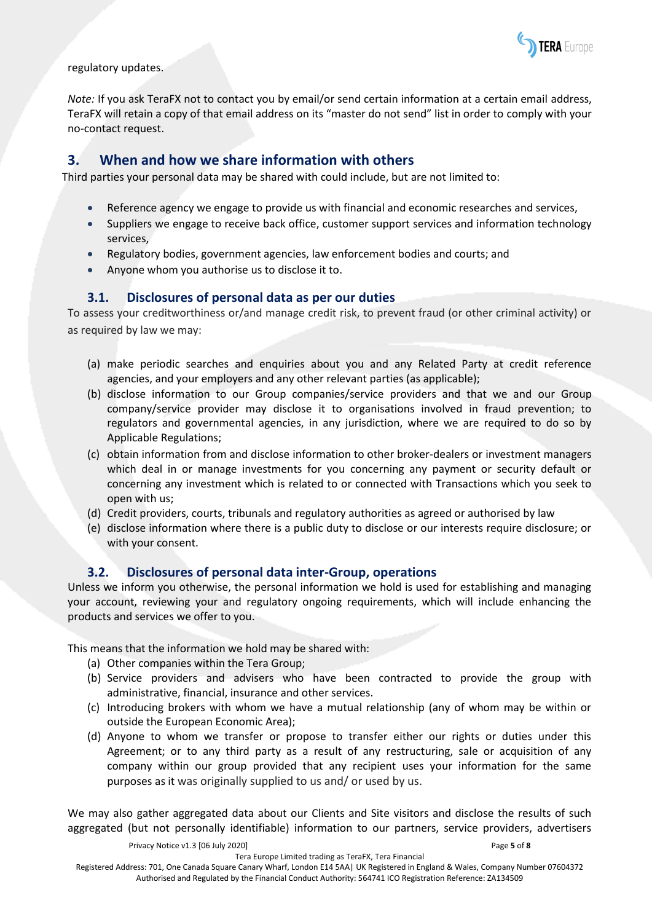

regulatory updates.

*Note:* If you ask TeraFX not to contact you by email/or send certain information at a certain email address, TeraFX will retain a copy of that email address on its "master do not send" list in order to comply with your no-contact request.

# <span id="page-4-0"></span>**3. When and how we share information with others**

Third parties your personal data may be shared with could include, but are not limited to:

- Reference agency we engage to provide us with financial and economic researches and services,
- Suppliers we engage to receive back office, customer support services and information technology services,
- Regulatory bodies, government agencies, law enforcement bodies and courts; and
- Anyone whom you authorise us to disclose it to.

## **3.1. Disclosures of personal data as per our duties**

<span id="page-4-1"></span>To assess your creditworthiness or/and manage credit risk, to prevent fraud (or other criminal activity) or as required by law we may:

- (a) make periodic searches and enquiries about you and any Related Party at credit reference agencies, and your employers and any other relevant parties (as applicable);
- (b) disclose information to our Group companies/service providers and that we and our Group company/service provider may disclose it to organisations involved in fraud prevention; to regulators and governmental agencies, in any jurisdiction, where we are required to do so by Applicable Regulations;
- (c) obtain information from and disclose information to other broker-dealers or investment managers which deal in or manage investments for you concerning any payment or security default or concerning any investment which is related to or connected with Transactions which you seek to open with us;
- (d) Credit providers, courts, tribunals and regulatory authorities as agreed or authorised by law
- (e) disclose information where there is a public duty to disclose or our interests require disclosure; or with your consent.

## **3.2. Disclosures of personal data inter-Group, operations**

<span id="page-4-2"></span>Unless we inform you otherwise, the personal information we hold is used for establishing and managing your account, reviewing your and regulatory ongoing requirements, which will include enhancing the products and services we offer to you.

This means that the information we hold may be shared with:

- (a) Other companies within the Tera Group;
- (b) Service providers and advisers who have been contracted to provide the group with administrative, financial, insurance and other services.
- (c) Introducing brokers with whom we have a mutual relationship (any of whom may be within or outside the European Economic Area);
- (d) Anyone to whom we transfer or propose to transfer either our rights or duties under this Agreement; or to any third party as a result of any restructuring, sale or acquisition of any company within our group provided that any recipient uses your information for the same purposes as it was originally supplied to us and/ or used by us.

We may also gather aggregated data about our Clients and Site visitors and disclose the results of such aggregated (but not personally identifiable) information to our partners, service providers, advertisers

Privacy Notice v1.3 [06 July 2020] Page **5** of **8**

Tera Europe Limited trading as TeraFX, Tera Financial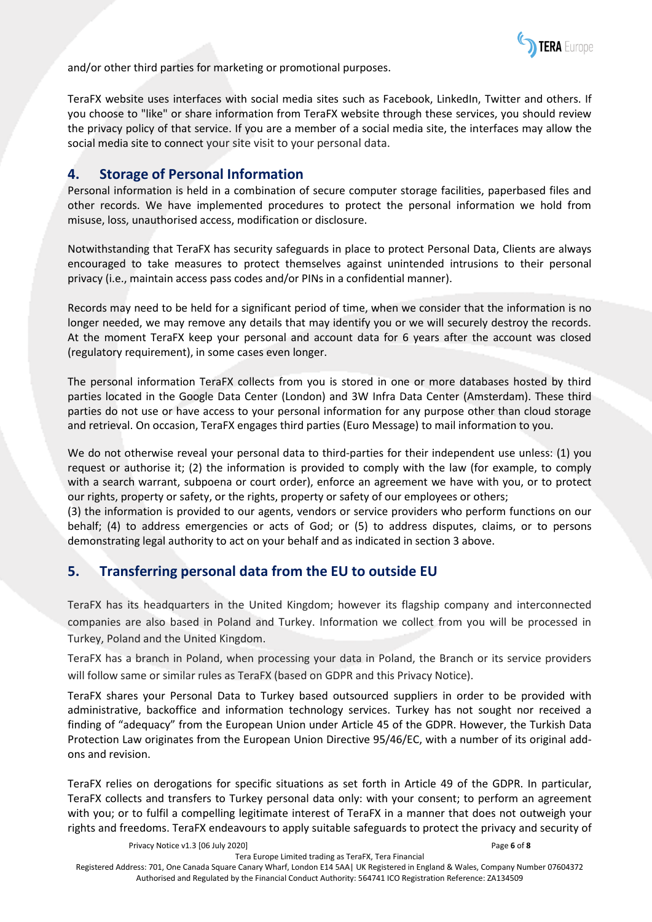

and/or other third parties for marketing or promotional purposes.

TeraFX website uses interfaces with social media sites such as Facebook, LinkedIn, Twitter and others. If you choose to "like" or share information from TeraFX website through these services, you should review the privacy policy of that service. If you are a member of a social media site, the interfaces may allow the social media site to connect your site visit to your personal data.

## <span id="page-5-0"></span>**4. Storage of Personal Information**

Personal information is held in a combination of secure computer storage facilities, paperbased files and other records. We have implemented procedures to protect the personal information we hold from misuse, loss, unauthorised access, modification or disclosure.

Notwithstanding that TeraFX has security safeguards in place to protect Personal Data, Clients are always encouraged to take measures to protect themselves against unintended intrusions to their personal privacy (i.e., maintain access pass codes and/or PINs in a confidential manner).

Records may need to be held for a significant period of time, when we consider that the information is no longer needed, we may remove any details that may identify you or we will securely destroy the records. At the moment TeraFX keep your personal and account data for 6 years after the account was closed (regulatory requirement), in some cases even longer.

The personal information TeraFX collects from you is stored in one or more databases hosted by third parties located in the Google Data Center (London) and 3W Infra Data Center (Amsterdam). These third parties do not use or have access to your personal information for any purpose other than cloud storage and retrieval. On occasion, TeraFX engages third parties (Euro Message) to mail information to you.

We do not otherwise reveal your personal data to third-parties for their independent use unless: (1) you request or authorise it; (2) the information is provided to comply with the law (for example, to comply with a search warrant, subpoena or court order), enforce an agreement we have with you, or to protect our rights, property or safety, or the rights, property or safety of our employees or others;

(3) the information is provided to our agents, vendors or service providers who perform functions on our behalf; (4) to address emergencies or acts of God; or (5) to address disputes, claims, or to persons demonstrating legal authority to act on your behalf and as indicated in section 3 above.

# <span id="page-5-1"></span>**5. Transferring personal data from the EU to outside EU**

TeraFX has its headquarters in the United Kingdom; however its flagship company and interconnected companies are also based in Poland and Turkey. Information we collect from you will be processed in Turkey, Poland and the United Kingdom.

TeraFX has a branch in Poland, when processing your data in Poland, the Branch or its service providers will follow same or similar rules as TeraFX (based on GDPR and this Privacy Notice).

TeraFX shares your Personal Data to Turkey based outsourced suppliers in order to be provided with administrative, backoffice and information technology services. Turkey has not sought nor received a finding of "adequacy" from the European Union under Article 45 of the GDPR. However, the Turkish Data Protection Law originates from the European Union Directive 95/46/EC, with a number of its original addons and revision.

TeraFX relies on derogations for specific situations as set forth in Article 49 of the GDPR. In particular, TeraFX collects and transfers to Turkey personal data only: with your consent; to perform an agreement with you; or to fulfil a compelling legitimate interest of TeraFX in a manner that does not outweigh your rights and freedoms. TeraFX endeavours to apply suitable safeguards to protect the privacy and security of

Privacy Notice v1.3 [06 July 2020] Page **6** of **8**

Tera Europe Limited trading as TeraFX, Tera Financial

Registered Address: 701, One Canada Square Canary Wharf, London E14 5AA| UK Registered in England & Wales, Company Number 07604372 Authorised and Regulated by the Financial Conduct Authority: 564741 ICO Registration Reference: ZA134509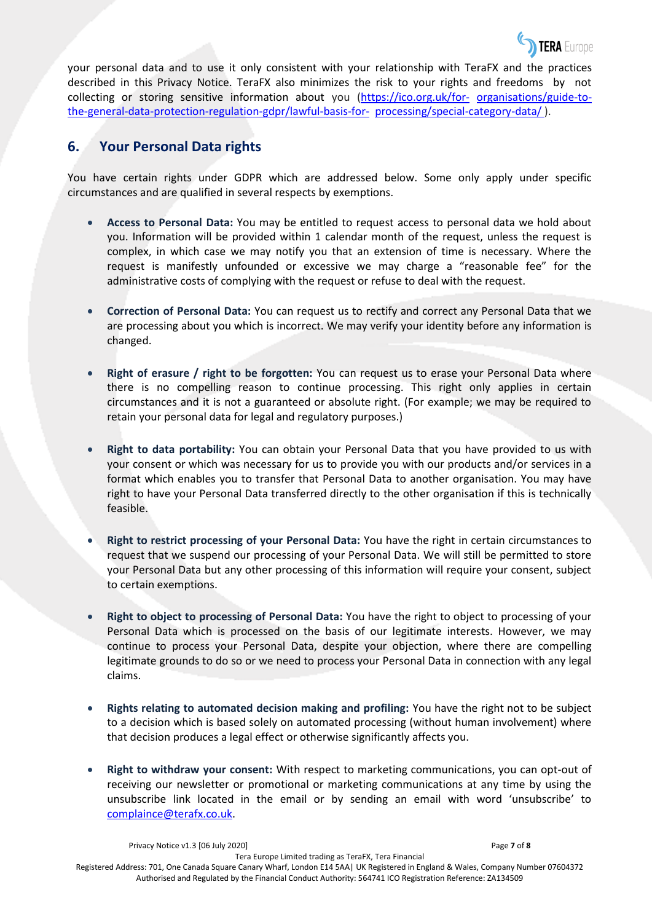

your personal data and to use it only consistent with your relationship with TeraFX and the practices described in this Privacy Notice. TeraFX also minimizes the risk to your rights and freedoms by not collecting or storing sensitive information about you [\(https://ico.org.uk/for-](https://ico.org.uk/for-organisations/guide-to-the-general-data-protection-regulation-gdpr/lawful-basis-for-processing/special-category-data/) [organisations/guide-to](https://ico.org.uk/for-organisations/guide-to-the-general-data-protection-regulation-gdpr/lawful-basis-for-processing/special-category-data/)[the-general-data-protection-regulation-gdpr/lawful-basis-for-](https://ico.org.uk/for-organisations/guide-to-the-general-data-protection-regulation-gdpr/lawful-basis-for-processing/special-category-data/) [processing/special-category-data/ \)](https://ico.org.uk/for-organisations/guide-to-the-general-data-protection-regulation-gdpr/lawful-basis-for-processing/special-category-data/).

# <span id="page-6-0"></span>**6. Your Personal Data rights**

You have certain rights under GDPR which are addressed below. Some only apply under specific circumstances and are qualified in several respects by exemptions.

- **Access to Personal Data:** You may be entitled to request access to personal data we hold about you. Information will be provided within 1 calendar month of the request, unless the request is complex, in which case we may notify you that an extension of time is necessary. Where the request is manifestly unfounded or excessive we may charge a "reasonable fee" for the administrative costs of complying with the request or refuse to deal with the request.
- **Correction of Personal Data:** You can request us to rectify and correct any Personal Data that we are processing about you which is incorrect. We may verify your identity before any information is changed.
- **Right of erasure / right to be forgotten:** You can request us to erase your Personal Data where there is no compelling reason to continue processing. This right only applies in certain circumstances and it is not a guaranteed or absolute right. (For example; we may be required to retain your personal data for legal and regulatory purposes.)
- **Right to data portability:** You can obtain your Personal Data that you have provided to us with your consent or which was necessary for us to provide you with our products and/or services in a format which enables you to transfer that Personal Data to another organisation. You may have right to have your Personal Data transferred directly to the other organisation if this is technically feasible.
- **Right to restrict processing of your Personal Data:** You have the right in certain circumstances to request that we suspend our processing of your Personal Data. We will still be permitted to store your Personal Data but any other processing of this information will require your consent, subject to certain exemptions.
- **Right to object to processing of Personal Data:** You have the right to object to processing of your Personal Data which is processed on the basis of our legitimate interests. However, we may continue to process your Personal Data, despite your objection, where there are compelling legitimate grounds to do so or we need to process your Personal Data in connection with any legal claims.
- **Rights relating to automated decision making and profiling:** You have the right not to be subject to a decision which is based solely on automated processing (without human involvement) where that decision produces a legal effect or otherwise significantly affects you.
- **Right to withdraw your consent:** With respect to marketing communications, you can opt-out of receiving our newsletter or promotional or marketing communications at any time by using the unsubscribe link located in the email or by sending an email with word 'unsubscribe' to [complaince@terafx.co.uk.](mailto:complaince@terafx.co.uk)

Tera Europe Limited trading as TeraFX, Tera Financial